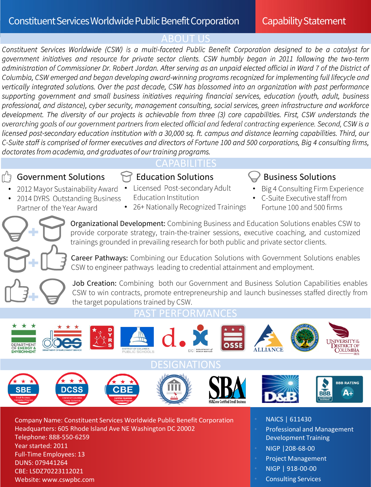ABOUT US<br>Constituent Services Worldwide (CSW) is a multi-faceted Public Benefit Corporation designed to be a catalyst for government initiatives and resource for private sector clients. CSW humbly began in 2011 following the two-term administration of Commissioner Dr. Robert Jordan. After serving as an unpaid elected official in Ward 7 of the District of Columbia, CSW emerged and began developing award-winning programs recognized for implementing full lifecycle and vertically integrated solutions. Over the past decade, CSW has blossomed into an organization with past performance supporting government and small business initiatives requiring financial services, education (youth, adult, business professional, and distance), cyber security, management consulting, social services, green infrastructure and workforce development. The diversity of our projects is achievable from three (3) core capabilities. First, CSW understands the overarching goals of our government partners from elected official and federal contracting experience. Second, CSW is a licensed post-secondary education institution with a 30,000 sq. ft. campus and distance learning capabilities. Third, our C-Suite staff is comprised of former executives and directors of Fortune 100 and 500 corporations, Big 4 consulting firms, doctorates from academia, and graduates of our training programs.

# Government Solutions  $\bigcap$  Education Solutions  $\bigcup$  Business Solutions

Partner of the Year Award

2012 Mayor Sustainability Award

2014 DYRS Outstanding Business

# CAPABILITIES

**Education Institution** 

Licensed Post-secondary Adult

26+ Nationally Recognized Trainings

- Big 4 Consulting Firm Experience
- C-Suite Executive staff from Fortune 100 and 500 firms

Organizational Development: Combining Business and Education Solutions enables CSW to provide corporate strategy, train-the-trainer sessions, executive coaching, and customized trainings grounded in prevailing research for both public and private sector clients.

Career Pathways: Combining our Education Solutions with Government Solutions enables CSW to engineer pathways leading to credential attainment and employment.

Job Creation: Combining both our Government and Business Solution Capabilities enables CSW to win contracts, promote entrepreneurship and launch businesses staffed directly from the target populations trained by CSW.



Company Name: Constituent Services Worldwide Public Benefit Corporation Headquarters: 605 Rhode Island Ave NE Washington DC 20002 Telephone: 888-550-6259 Year started: 2011 Full-Time Employees: 13 DUNS: 079441264 CBE: LSDZ70223112021 Website: www.cswpbc.com

- NAICS | 611430
- Professional and Management Development Training
- NIGP |208-68-00
- Project Management
- NIGP | 918-00-00
- Consulting Services